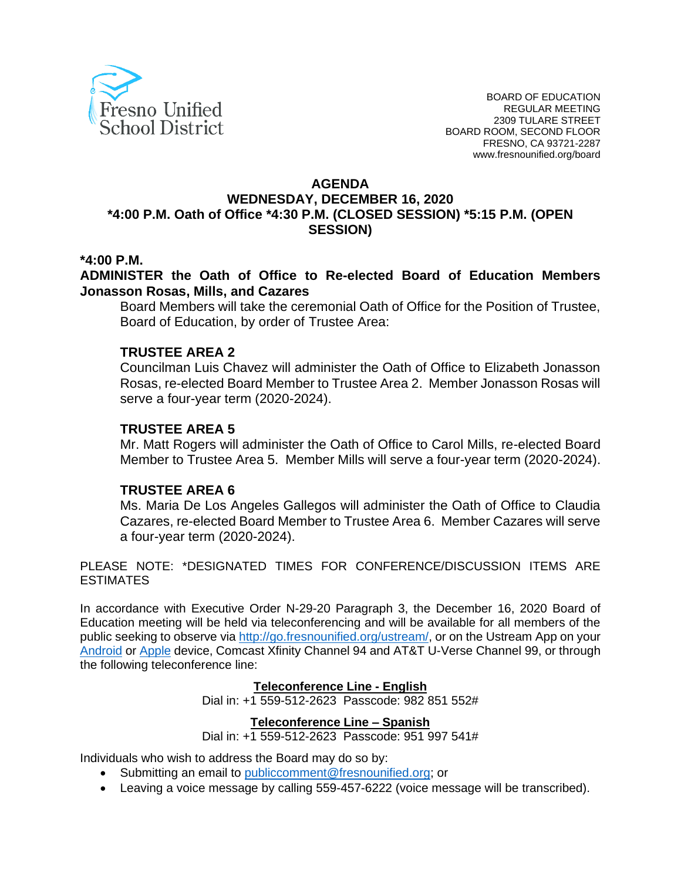

#### **AGENDA**

#### **WEDNESDAY, DECEMBER 16, 2020 \*4:00 P.M. Oath of Office \*4:30 P.M. (CLOSED SESSION) \*5:15 P.M. (OPEN SESSION)**

#### **\*4:00 P.M.**

 **ADMINISTER the Oath of Office to Re-elected Board of Education Members Jonasson Rosas, Mills, and Cazares** 

 Board Members will take the ceremonial Oath of Office for the Position of Trustee, Board of Education, by order of Trustee Area:

#### **TRUSTEE AREA 2**

 Councilman Luis Chavez will administer the Oath of Office to Elizabeth Jonasson Rosas, re-elected Board Member to Trustee Area 2. Member Jonasson Rosas will serve a four-year term (2020-2024).

#### **TRUSTEE AREA 5**

 Mr. Matt Rogers will administer the Oath of Office to Carol Mills, re-elected Board Member to Trustee Area 5. Member Mills will serve a four-year term (2020-2024).

#### **TRUSTEE AREA 6**

 Ms. Maria De Los Angeles Gallegos will administer the Oath of Office to Claudia Cazares, re-elected Board Member to Trustee Area 6. Member Cazares will serve a four-year term (2020-2024).

 PLEASE NOTE: \*DESIGNATED TIMES FOR CONFERENCE/DISCUSSION ITEMS ARE ESTIMATES

 In accordance with Executive Order N-29-20 Paragraph 3, the December 16, 2020 Board of Education meeting will be held via teleconferencing and will be available for all members of the public seeking to observe via [http://go.fresnounified.org/ustream/,](http://go.fresnounified.org/ustream/) or on the Ustream App on your [Android](https://play.google.com/store/apps/details?id=tv.ustream.ustream&hl=en_US) or [Apple](https://itunes.apple.com/us/app/ustream/id301520250?mt=8) device, Comcast Xfinity Channel 94 and AT&T U-Verse Channel 99, or through the following teleconference line:

#### **Teleconference Line - English**

Dial in: +1 559-512-2623 Passcode: 982 851 552#

#### **Teleconference Line – Spanish**

Dial in: +1 559-512-2623 Passcode: 951 997 541#

Individuals who wish to address the Board may do so by:

- Submitting an email to [publiccomment@fresnounified.org;](mailto:publiccomment@fresnounified.org) or
- Leaving a voice message by calling 559-457-6222 (voice message will be transcribed).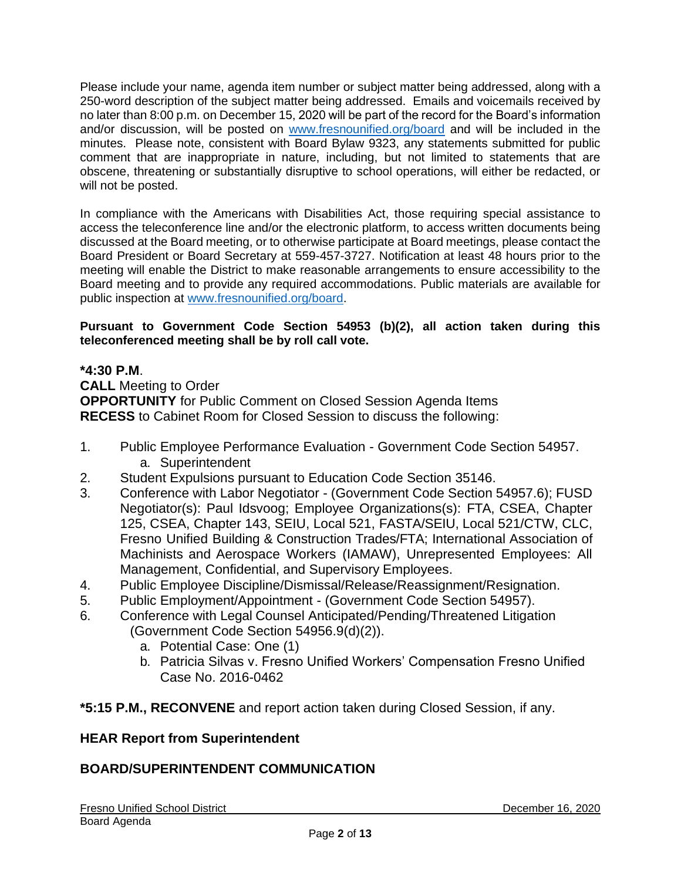Please include your name, agenda item number or subject matter being addressed, along with a 250-word description of the subject matter being addressed. Emails and voicemails received by no later than 8:00 p.m. on December 15, 2020 will be part of the record for the Board's information and/or discussion, will be posted on [www.fresnounified.org/board](http://www.fresnounified.org/board) and will be included in the minutes. Please note, consistent with Board Bylaw 9323, any statements submitted for public comment that are inappropriate in nature, including, but not limited to statements that are obscene, threatening or substantially disruptive to school operations, will either be redacted, or will not be posted.

 In compliance with the Americans with Disabilities Act, those requiring special assistance to access the teleconference line and/or the electronic platform, to access written documents being discussed at the Board meeting, or to otherwise participate at Board meetings, please contact the Board President or Board Secretary at 559-457-3727. Notification at least 48 hours prior to the meeting will enable the District to make reasonable arrangements to ensure accessibility to the Board meeting and to provide any required accommodations. Public materials are available for public inspection at [www.fresnounified.org/board.](http://www.fresnounified.org/board)

#### **Pursuant to Government Code Section 54953 (b)(2), all action taken during this teleconferenced meeting shall be by roll call vote.**

# **\*4:30 P.M**.

 **RECESS** to Cabinet Room for Closed Session to discuss the following: **CALL** Meeting to Order **OPPORTUNITY** for Public Comment on Closed Session Agenda Items

- 1. Public Employee Performance Evaluation Government Code Section 54957. a. Superintendent
- 2. Student Expulsions pursuant to Education Code Section 35146.
- 3. Conference with Labor Negotiator (Government Code Section 54957.6); FUSD Negotiator(s): Paul Idsvoog; Employee Organizations(s): FTA, CSEA, Chapter Fresno Unified Building & Construction Trades/FTA; International Association of 125, CSEA, Chapter 143, SEIU, Local 521, FASTA/SEIU, Local 521/CTW, CLC, Machinists and Aerospace Workers (IAMAW), Unrepresented Employees: All Management, Confidential, and Supervisory Employees.
- 4. Public Employee Discipline/Dismissal/Release/Reassignment/Resignation.
- 5. Public Employment/Appointment (Government Code Section 54957).
- 6. Conference with Legal Counsel Anticipated/Pending/Threatened Litigation (Government Code Section 54956.9(d)(2)).
	- a. Potential Case: One (1)
	- b. Patricia Silvas v. Fresno Unified Workers' Compensation Fresno Unified Case No. 2016-0462

**\*5:15 P.M., RECONVENE** and report action taken during Closed Session, if any.

# **HEAR Report from Superintendent**

# **BOARD/SUPERINTENDENT COMMUNICATION**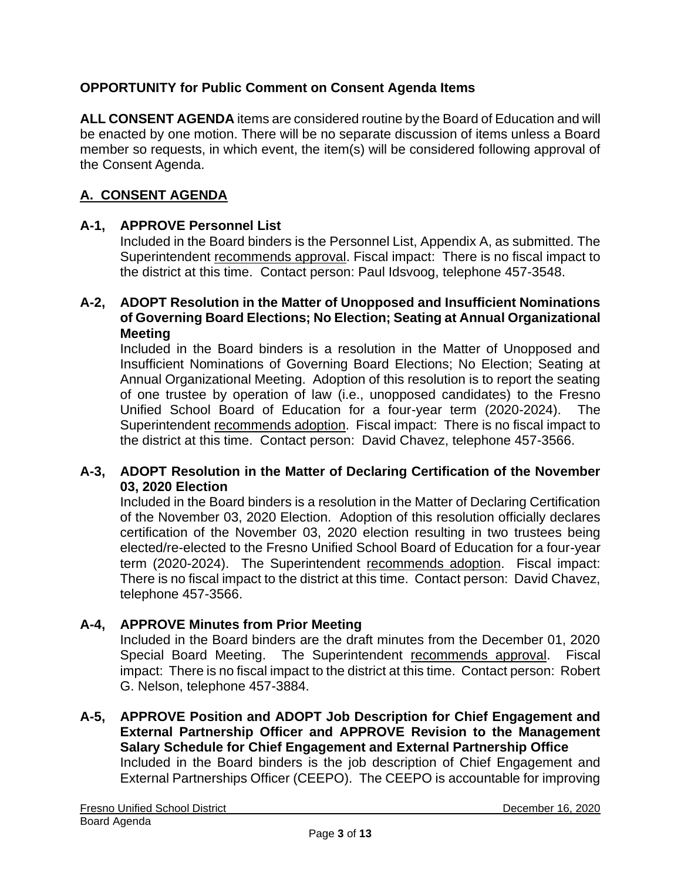# **OPPORTUNITY for Public Comment on Consent Agenda Items**

 member so requests, in which event, the item(s) will be considered following approval of **ALL CONSENT AGENDA** items are considered routine by the Board of Education and will be enacted by one motion. There will be no separate discussion of items unless a Board the Consent Agenda.

# **A. CONSENT AGENDA**

# **A-1, APPROVE Personnel List**

 Included in the Board binders is the Personnel List, Appendix A, as submitted. The Superintendent recommends approval. Fiscal impact: There is no fiscal impact to the district at this time. Contact person: Paul Idsvoog, telephone 457-3548.

#### **A-2, ADOPT Resolution in the Matter of Unopposed and Insufficient Nominations of Governing Board Elections; No Election; Seating at Annual Organizational Meeting**

 Included in the Board binders is a resolution in the Matter of Unopposed and Insufficient Nominations of Governing Board Elections; No Election; Seating at Annual Organizational Meeting. Adoption of this resolution is to report the seating of one trustee by operation of law (i.e., unopposed candidates) to the Fresno Unified School Board of Education for a four-year term (2020-2024). The Superintendent recommends adoption. Fiscal impact: There is no fiscal impact to the district at this time. Contact person: David Chavez, telephone 457-3566.

# **A-3, ADOPT Resolution in the Matter of Declaring Certification of the November 03, 2020 Election**

 Included in the Board binders is a resolution in the Matter of Declaring Certification certification of the November 03, 2020 election resulting in two trustees being elected/re-elected to the Fresno Unified School Board of Education for a four-year term (2020-2024). The Superintendent recommends adoption. Fiscal impact: There is no fiscal impact to the district at this time. Contact person: David Chavez, of the November 03, 2020 Election. Adoption of this resolution officially declares telephone 457-3566.

# **A-4, APPROVE Minutes from Prior Meeting**

 Included in the Board binders are the draft minutes from the December 01, 2020 Special Board Meeting. The Superintendent recommends approval. Fiscal impact: There is no fiscal impact to the district at this time. Contact person: Robert G. Nelson, telephone 457-3884.

 **A-5, APPROVE Position and ADOPT Job Description for Chief Engagement and External Partnership Officer and APPROVE Revision to the Management**  Included in the Board binders is the job description of Chief Engagement and External Partnerships Officer (CEEPO). The CEEPO is accountable for improving **Salary Schedule for Chief Engagement and External Partnership Office**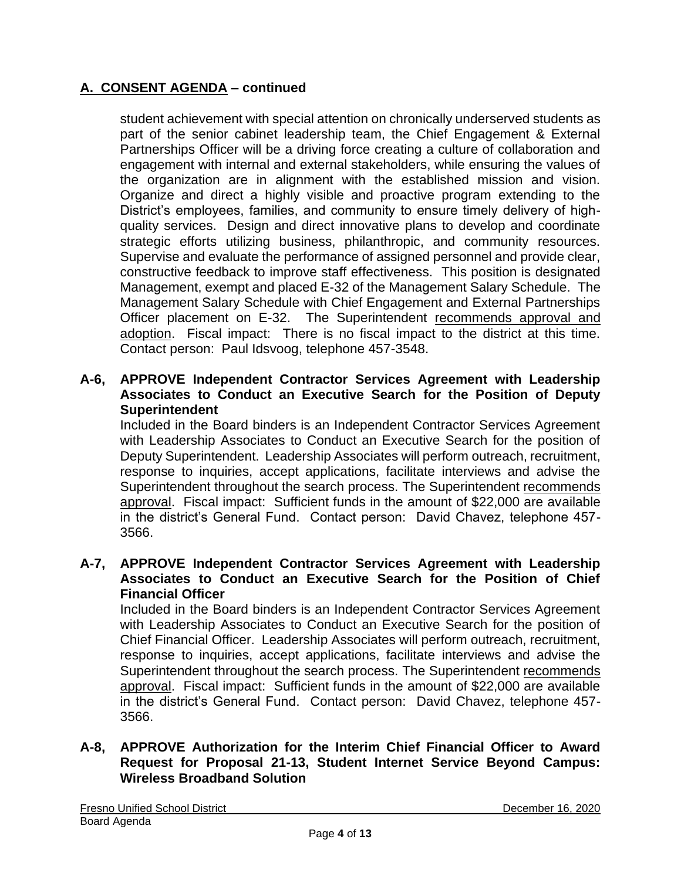student achievement with special attention on chronically underserved students as part of the senior cabinet leadership team, the Chief Engagement & External Partnerships Officer will be a driving force creating a culture of collaboration and engagement with internal and external stakeholders, while ensuring the values of the organization are in alignment with the established mission and vision. Organize and direct a highly visible and proactive program extending to the District's employees, families, and community to ensure timely delivery of high- quality services. Design and direct innovative plans to develop and coordinate Supervise and evaluate the performance of assigned personnel and provide clear, constructive feedback to improve staff effectiveness. This position is designated Management, exempt and placed E-32 of the Management Salary Schedule. The Management Salary Schedule with Chief Engagement and External Partnerships Officer placement on E-32. The Superintendent recommends approval and adoption. Fiscal impact: There is no fiscal impact to the district at this time. strategic efforts utilizing business, philanthropic, and community resources. Contact person: Paul Idsvoog, telephone 457-3548.

### **A-6, APPROVE Independent Contractor Services Agreement with Leadership Associates to Conduct an Executive Search for the Position of Deputy Superintendent**

 Included in the Board binders is an Independent Contractor Services Agreement with Leadership Associates to Conduct an Executive Search for the position of Deputy Superintendent. Leadership Associates will perform outreach, recruitment, response to inquiries, accept applications, facilitate interviews and advise the approval. Fiscal impact: Sufficient funds in the amount of \$22,000 are available in the district's General Fund. Contact person: David Chavez, telephone 457- Superintendent throughout the search process. The Superintendent recommends 3566.

#### **A-7, APPROVE Independent Contractor Services Agreement with Leadership Associates to Conduct an Executive Search for the Position of Chief Financial Officer**

 with Leadership Associates to Conduct an Executive Search for the position of Chief Financial Officer. Leadership Associates will perform outreach, recruitment, response to inquiries, accept applications, facilitate interviews and advise the approval. Fiscal impact: Sufficient funds in the amount of \$22,000 are available in the district's General Fund. Contact person: David Chavez, telephone 457- Included in the Board binders is an Independent Contractor Services Agreement Superintendent throughout the search process. The Superintendent recommends 3566.

### **A-8, APPROVE Authorization for the Interim Chief Financial Officer to Award Request for Proposal 21-13, Student Internet Service Beyond Campus: Wireless Broadband Solution**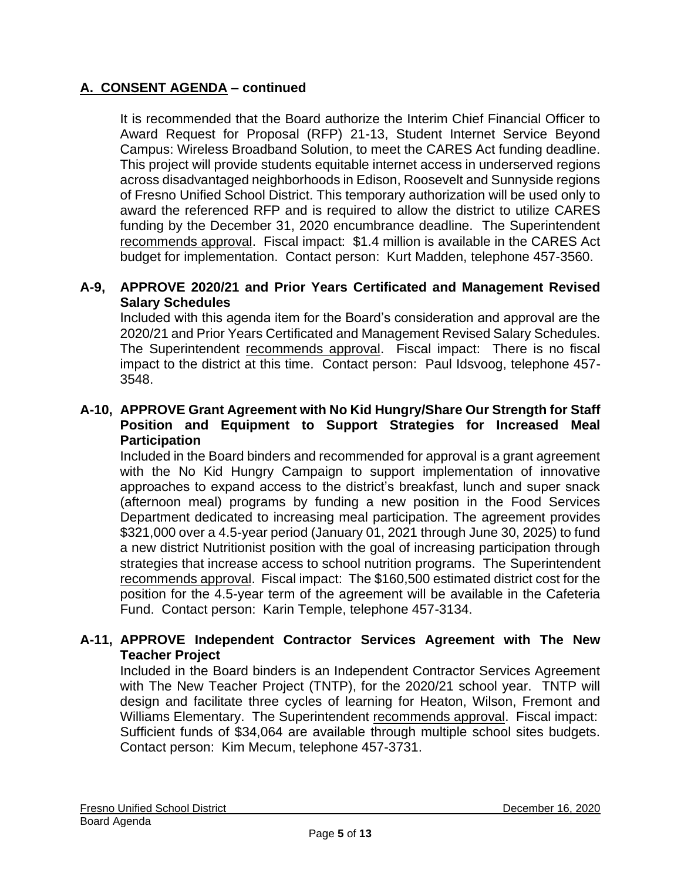It is recommended that the Board authorize the Interim Chief Financial Officer to Campus: Wireless Broadband Solution, to meet the CARES Act funding deadline. This project will provide students equitable internet access in underserved regions across disadvantaged neighborhoods in Edison, Roosevelt and Sunnyside regions of Fresno Unified School District. This temporary authorization will be used only to award the referenced RFP and is required to allow the district to utilize CARES funding by the December 31, 2020 encumbrance deadline. The Superintendent recommends approval. Fiscal impact: \$1.4 million is available in the CARES Act Award Request for Proposal (RFP) 21-13, Student Internet Service Beyond budget for implementation. Contact person: Kurt Madden, telephone 457-3560.

## **A-9, APPROVE 2020/21 and Prior Years Certificated and Management Revised Salary Schedules**

 Included with this agenda item for the Board's consideration and approval are the 2020/21 and Prior Years Certificated and Management Revised Salary Schedules. The Superintendent recommends approval. Fiscal impact: There is no fiscal impact to the district at this time. Contact person: Paul Idsvoog, telephone 457- 3548.

#### **A-10, APPROVE Grant Agreement with No Kid Hungry/Share Our Strength for Staff Position and Equipment to Support Strategies for Increased Meal Participation**

 Included in the Board binders and recommended for approval is a grant agreement with the No Kid Hungry Campaign to support implementation of innovative approaches to expand access to the district's breakfast, lunch and super snack (afternoon meal) programs by funding a new position in the Food Services Department dedicated to increasing meal participation. The agreement provides \$321,000 over a 4.5-year period (January 01, 2021 through June 30, 2025) to fund a new district Nutritionist position with the goal of increasing participation through recommends approval. Fiscal impact: The \$160,500 estimated district cost for the position for the 4.5-year term of the agreement will be available in the Cafeteria Fund. Contact person: Karin Temple, telephone 457-3134. strategies that increase access to school nutrition programs. The Superintendent

### **A-11, APPROVE Independent Contractor Services Agreement with The New Teacher Project**

 Included in the Board binders is an Independent Contractor Services Agreement with The New Teacher Project (TNTP), for the 2020/21 school year. TNTP will design and facilitate three cycles of learning for Heaton, Wilson, Fremont and Williams Elementary. The Superintendent recommends approval. Fiscal impact: Williams Elementary. The Superintendent <u>recommends approval</u>. Fiscal impact:<br>Sufficient funds of \$34,064 are available through multiple school sites budgets. Contact person: Kim Mecum, telephone 457-3731.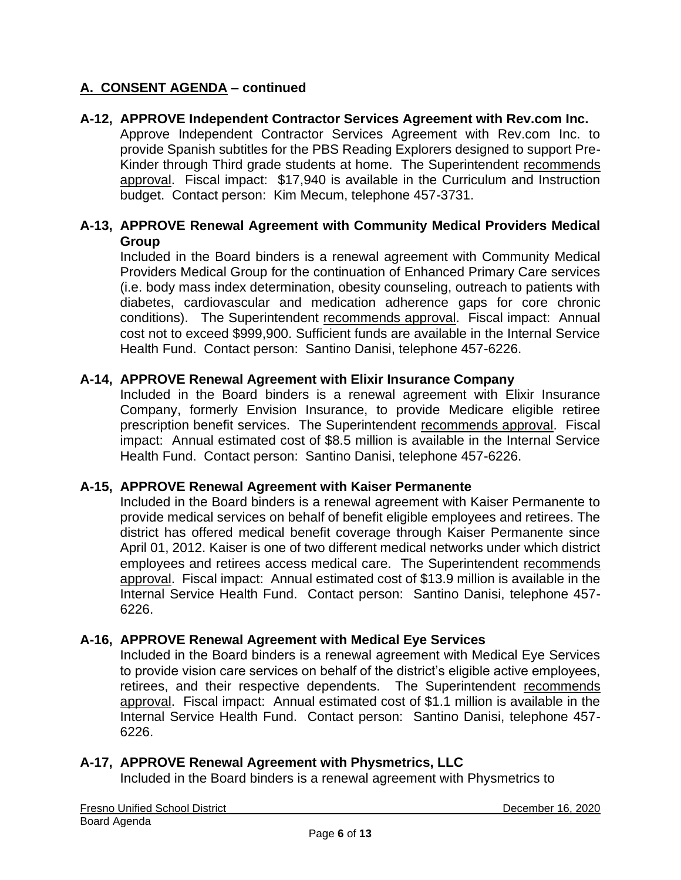## **A-12, APPROVE Independent Contractor Services Agreement with Rev.com Inc.**

 Approve Independent Contractor Services Agreement with Rev.com Inc. to provide Spanish subtitles for the PBS Reading Explorers designed to support Pre-Kinder through Third grade students at home. The Superintendent recommends approval. Fiscal impact: \$17,940 is available in the Curriculum and Instruction budget. Contact person: Kim Mecum, telephone 457-3731.

### **A-13, APPROVE Renewal Agreement with Community Medical Providers Medical Group**

 Included in the Board binders is a renewal agreement with Community Medical Providers Medical Group for the continuation of Enhanced Primary Care services conditions). The Superintendent recommends approval. Fiscal impact: Annual Health Fund. Contact person: Santino Danisi, telephone 457-6226. (i.e. body mass index determination, obesity counseling, outreach to patients with diabetes, cardiovascular and medication adherence gaps for core chronic cost not to exceed \$999,900. Sufficient funds are available in the Internal Service

#### **A-14, APPROVE Renewal Agreement with Elixir Insurance Company**

 Included in the Board binders is a renewal agreement with Elixir Insurance Company, formerly Envision Insurance, to provide Medicare eligible retiree prescription benefit services. The Superintendent recommends approval. Fiscal impact: Annual estimated cost of \$8.5 million is available in the Internal Service Health Fund. Contact person: Santino Danisi, telephone 457-6226.

#### **A-15, APPROVE Renewal Agreement with Kaiser Permanente**

 Included in the Board binders is a renewal agreement with Kaiser Permanente to district has offered medical benefit coverage through Kaiser Permanente since April 01, 2012. Kaiser is one of two different medical networks under which district employees and retirees access medical care. The Superintendent recommends approval. Fiscal impact: Annual estimated cost of \$13.9 million is available in the Internal Service Health Fund. Contact person: Santino Danisi, telephone 457 provide medical services on behalf of benefit eligible employees and retirees. The 6226.

#### **A-16, APPROVE Renewal Agreement with Medical Eye Services**

 Included in the Board binders is a renewal agreement with Medical Eye Services to provide vision care services on behalf of the district's eligible active employees, retirees, and their respective dependents. The Superintendent recommends approval. Fiscal impact: Annual estimated cost of \$1.1 million is available in the Internal Service Health Fund. Contact person: Santino Danisi, telephone 457- 6226.

# **A-17, APPROVE Renewal Agreement with Physmetrics, LLC**

Included in the Board binders is a renewal agreement with Physmetrics to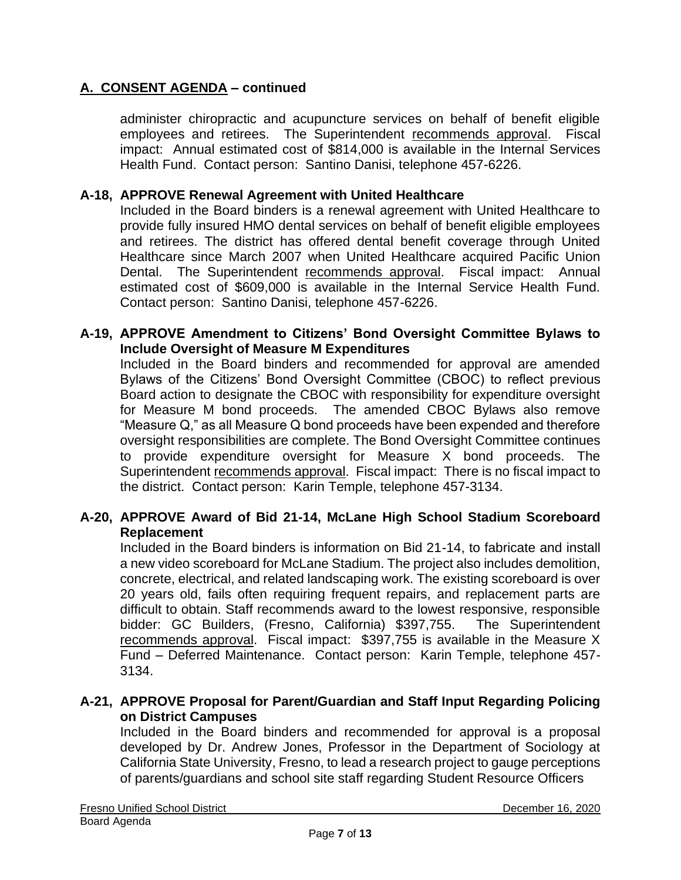administer chiropractic and acupuncture services on behalf of benefit eligible employees and retirees. The Superintendent recommends approval. Fiscal impact: Annual estimated cost of \$814,000 is available in the Internal Services Health Fund. Contact person: Santino Danisi, telephone 457-6226.

### **A-18, APPROVE Renewal Agreement with United Healthcare**

 Included in the Board binders is a renewal agreement with United Healthcare to and retirees. The district has offered dental benefit coverage through United Healthcare since March 2007 when United Healthcare acquired Pacific Union Dental. The Superintendent recommends approval. Fiscal impact: Annual estimated cost of \$609,000 is available in the Internal Service Health Fund. provide fully insured HMO dental services on behalf of benefit eligible employees Contact person: Santino Danisi, telephone 457-6226.

#### **A-19, APPROVE Amendment to Citizens' Bond Oversight Committee Bylaws to Include Oversight of Measure M Expenditures**

 Included in the Board binders and recommended for approval are amended Bylaws of the Citizens' Bond Oversight Committee (CBOC) to reflect previous Board action to designate the CBOC with responsibility for expenditure oversight for Measure M bond proceeds. The amended CBOC Bylaws also remove "Measure Q," as all Measure Q bond proceeds have been expended and therefore oversight responsibilities are complete. The Bond Oversight Committee continues to provide expenditure oversight for Measure X bond proceeds. The Superintendent recommends approval. Fiscal impact: There is no fiscal impact to the district. Contact person: Karin Temple, telephone 457-3134.

### **A-20, APPROVE Award of Bid 21-14, McLane High School Stadium Scoreboard Replacement**

 Included in the Board binders is information on Bid 21-14, to fabricate and install a new video scoreboard for McLane Stadium. The project also includes demolition, concrete, electrical, and related landscaping work. The existing scoreboard is over 20 years old, fails often requiring frequent repairs, and replacement parts are difficult to obtain. Staff recommends award to the lowest responsive, responsible recommends approval. Fiscal impact: \$397,755 is available in the Measure X Fund – Deferred Maintenance. Contact person: Karin Temple, telephone 457 bidder: GC Builders, (Fresno, California) \$397,755. The Superintendent 3134.

# **A-21, APPROVE Proposal for Parent/Guardian and Staff Input Regarding Policing on District Campuses**

 Included in the Board binders and recommended for approval is a proposal developed by Dr. Andrew Jones, Professor in the Department of Sociology at California State University, Fresno, to lead a research project to gauge perceptions of parents/guardians and school site staff regarding Student Resource Officers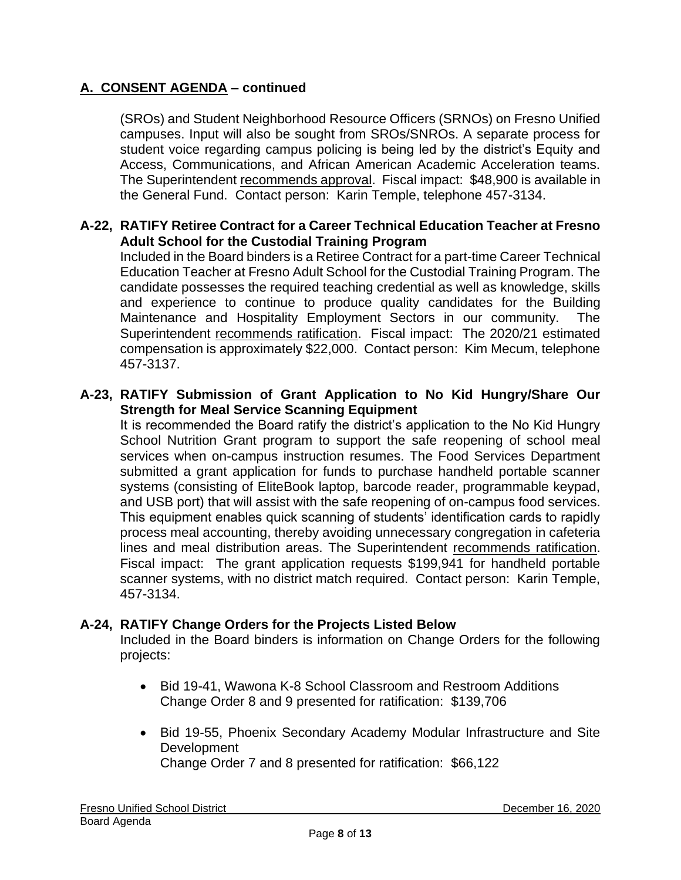(SROs) and Student Neighborhood Resource Officers (SRNOs) on Fresno Unified campuses. Input will also be sought from SROs/SNROs. A separate process for student voice regarding campus policing is being led by the district's Equity and Access, Communications, and African American Academic Acceleration teams. The Superintendent recommends approval. Fiscal impact: \$48,900 is available in the General Fund. Contact person: Karin Temple, telephone 457-3134.

### **A-22, RATIFY Retiree Contract for a Career Technical Education Teacher at Fresno Adult School for the Custodial Training Program**

 Included in the Board binders is a Retiree Contract for a part-time Career Technical candidate possesses the required teaching credential as well as knowledge, skills and experience to continue to produce quality candidates for the Building Maintenance and Hospitality Employment Sectors in our community. The Superintendent recommends ratification. Fiscal impact: The 2020/21 estimated compensation is approximately \$22,000. Contact person: Kim Mecum, telephone Education Teacher at Fresno Adult School for the Custodial Training Program. The 457-3137.

## **A-23, RATIFY Submission of Grant Application to No Kid Hungry/Share Our Strength for Meal Service Scanning Equipment**

 It is recommended the Board ratify the district's application to the No Kid Hungry School Nutrition Grant program to support the safe reopening of school meal services when on-campus instruction resumes. The Food Services Department submitted a grant application for funds to purchase handheld portable scanner systems (consisting of EliteBook laptop, barcode reader, programmable keypad, and USB port) that will assist with the safe reopening of on-campus food services. This equipment enables quick scanning of students' identification cards to rapidly process meal accounting, thereby avoiding unnecessary congregation in cafeteria Fiscal impact: The grant application requests \$199,941 for handheld portable lines and meal distribution areas. The Superintendent recommends ratification. scanner systems, with no district match required. Contact person: Karin Temple, 457-3134.

#### **A-24, RATIFY Change Orders for the Projects Listed Below**

 Included in the Board binders is information on Change Orders for the following projects:

- Change Order 8 and 9 presented for ratification: \$139,706 • Bid 19-41, Wawona K-8 School Classroom and Restroom Additions
- • Bid 19-55, Phoenix Secondary Academy Modular Infrastructure and Site Change Order 7 and 8 presented for ratification: \$66,122 Development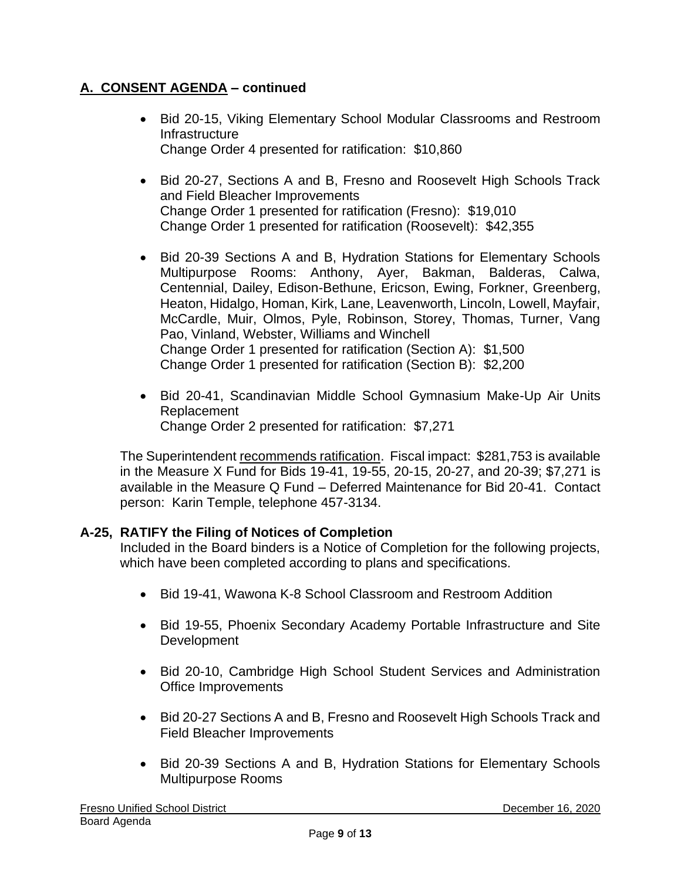- • Bid 20-15, Viking Elementary School Modular Classrooms and Restroom Change Order 4 presented for ratification: \$10,860 Infrastructure
- • Bid 20-27, Sections A and B, Fresno and Roosevelt High Schools Track Change Order 1 presented for ratification (Fresno): \$19,010 Change Order 1 presented for ratification (Roosevelt): \$42,355 and Field Bleacher Improvements
- • Bid 20-39 Sections A and B, Hydration Stations for Elementary Schools Multipurpose Rooms: Anthony, Ayer, Bakman, Balderas, Calwa, Heaton, Hidalgo, Homan, Kirk, Lane, Leavenworth, Lincoln, Lowell, Mayfair, McCardle, Muir, Olmos, Pyle, Robinson, Storey, Thomas, Turner, Vang Change Order 1 presented for ratification (Section A): \$1,500 Change Order 1 presented for ratification (Section B): \$2,200 Centennial, Dailey, Edison-Bethune, Ericson, Ewing, Forkner, Greenberg, Pao, Vinland, Webster, Williams and Winchell
- • Bid 20-41, Scandinavian Middle School Gymnasium Make-Up Air Units Change Order 2 presented for ratification: \$7,271 Replacement

The Superintendent recommends ratification. Fiscal impact: \$281,753 is available in the Measure X Fund for Bids 19-41, 19-55, 20-15, 20-27, and 20-39; \$7,271 is available in the Measure Q Fund – Deferred Maintenance for Bid 20-41. Contact person: Karin Temple, telephone 457-3134.

# **A-25, RATIFY the Filing of Notices of Completion**

 Included in the Board binders is a Notice of Completion for the following projects, which have been completed according to plans and specifications.

- Bid 19-41, Wawona K-8 School Classroom and Restroom Addition
- • Bid 19-55, Phoenix Secondary Academy Portable Infrastructure and Site **Development**
- • Bid 20-10, Cambridge High School Student Services and Administration Office Improvements
- • Bid 20-27 Sections A and B, Fresno and Roosevelt High Schools Track and Field Bleacher Improvements
- • Bid 20-39 Sections A and B, Hydration Stations for Elementary Schools Multipurpose Rooms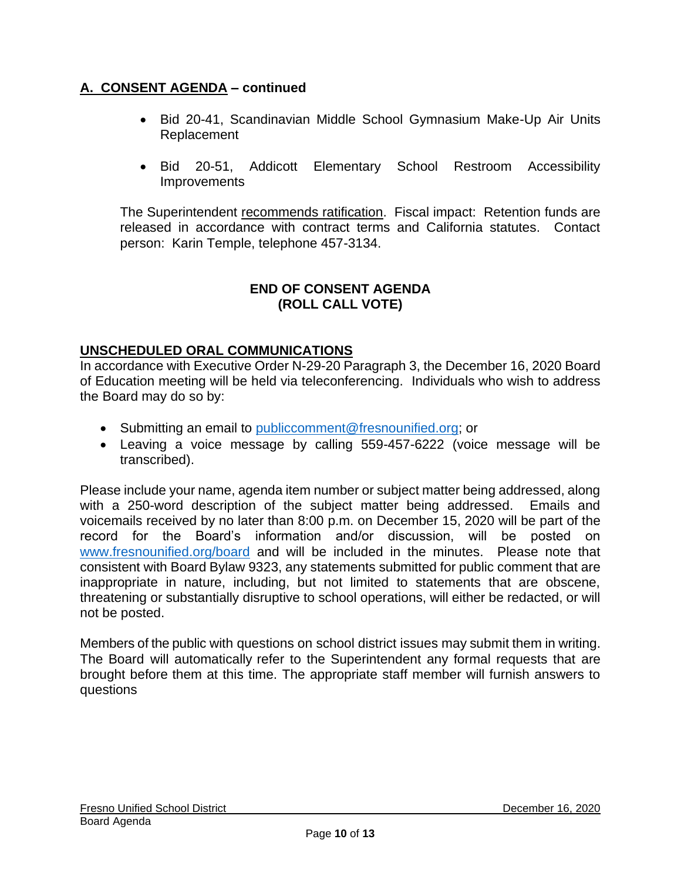- • Bid 20-41, Scandinavian Middle School Gymnasium Make-Up Air Units Replacement
- Bid 20-51, Addicott Elementary School Restroom Accessibility **Improvements**

The Superintendent recommends ratification. Fiscal impact: Retention funds are released in accordance with contract terms and California statutes. Contact person: Karin Temple, telephone 457-3134.

# **END OF CONSENT AGENDA (ROLL CALL VOTE)**

# **UNSCHEDULED ORAL COMMUNICATIONS**

 In accordance with Executive Order N-29-20 Paragraph 3, the December 16, 2020 Board of Education meeting will be held via teleconferencing. Individuals who wish to address the Board may do so by:

- Submitting an email to [publiccomment@fresnounified.org;](mailto:publiccomment@fresnounified.org) or
- • Leaving a voice message by calling 559-457-6222 (voice message will be transcribed).

 Please include your name, agenda item number or subject matter being addressed, along with a 250-word description of the subject matter being addressed. Emails and voicemails received by no later than 8:00 p.m. on December 15, 2020 will be part of the record for the Board's information and/or discussion, will be posted on [www.fresnounified.org/board](http://www.fresnounified.org/board) and will be included in the minutes. Please note that consistent with Board Bylaw 9323, any statements submitted for public comment that are inappropriate in nature, including, but not limited to statements that are obscene, threatening or substantially disruptive to school operations, will either be redacted, or will not be posted.

 brought before them at this time. The appropriate staff member will furnish answers to Members of the public with questions on school district issues may submit them in writing. The Board will automatically refer to the Superintendent any formal requests that are questions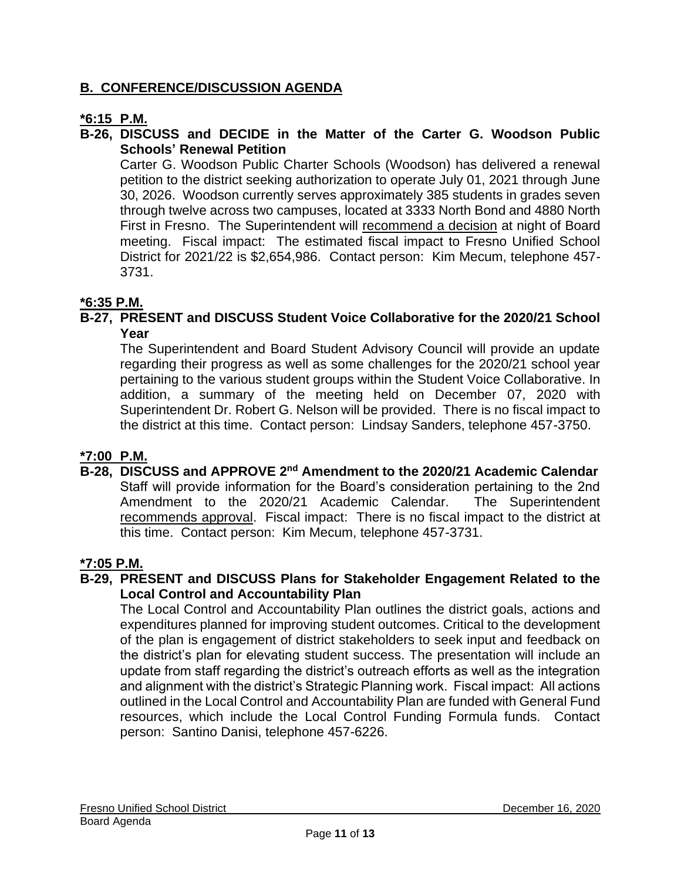# **B. CONFERENCE/DISCUSSION AGENDA**

# **\*6:15 P.M.**

## **B-26, DISCUSS and DECIDE in the Matter of the Carter G. Woodson Public Schools' Renewal Petition**

 Carter G. Woodson Public Charter Schools (Woodson) has delivered a renewal 30, 2026. Woodson currently serves approximately 385 students in grades seven through twelve across two campuses, located at 3333 North Bond and 4880 North First in Fresno. The Superintendent will recommend a decision at night of Board meeting. Fiscal impact: The estimated fiscal impact to Fresno Unified School District for 2021/22 is \$2,654,986. Contact person: Kim Mecum, telephone 457 petition to the district seeking authorization to operate July 01, 2021 through June 3731.

### **\*6:35 P.M.**

#### **B-27, PRESENT and DISCUSS Student Voice Collaborative for the 2020/21 School Year**

 The Superintendent and Board Student Advisory Council will provide an update regarding their progress as well as some challenges for the 2020/21 school year pertaining to the various student groups within the Student Voice Collaborative. In addition, a summary of the meeting held on December 07, 2020 with Superintendent Dr. Robert G. Nelson will be provided. There is no fiscal impact to the district at this time. Contact person: Lindsay Sanders, telephone 457-3750.

#### **\*7:00 P.M.**

## Staff will provide information for the Board's consideration pertaining to the 2nd Amendment to the 2020/21 Academic Calendar. The Superintendent recommends approval. Fiscal impact: There is no fiscal impact to the district at **B-28, DISCUSS and APPROVE 2nd Amendment to the 2020/21 Academic Calendar**  this time. Contact person: Kim Mecum, telephone 457-3731.

#### **\*7:05 P.M.**

### **B-29, PRESENT and DISCUSS Plans for Stakeholder Engagement Related to the Local Control and Accountability Plan**

 expenditures planned for improving student outcomes. Critical to the development of the plan is engagement of district stakeholders to seek input and feedback on the district's plan for elevating student success. The presentation will include an update from staff regarding the district's outreach efforts as well as the integration and alignment with the district's Strategic Planning work. Fiscal impact: All actions outlined in the Local Control and Accountability Plan are funded with General Fund resources, which include the Local Control Funding Formula funds. Contact person: Santino Danisi, telephone 457-6226. The Local Control and Accountability Plan outlines the district goals, actions and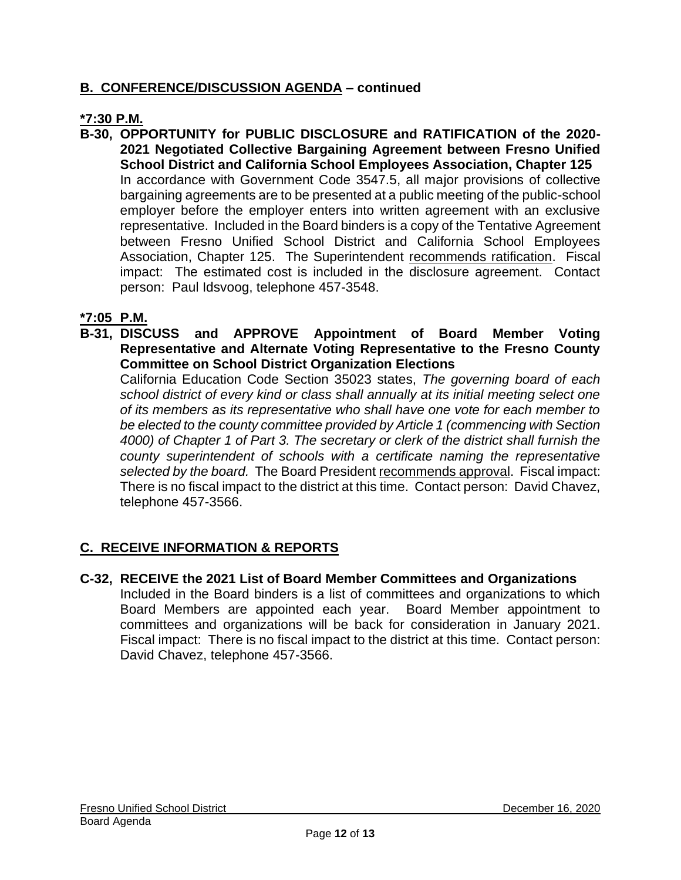# **B. CONFERENCE/DISCUSSION AGENDA – continued**

# **\*7:30 P.M.**

 **B-30, OPPORTUNITY for PUBLIC DISCLOSURE and RATIFICATION of the 2020-** In accordance with Government Code 3547.5, all major provisions of collective bargaining agreements are to be presented at a public meeting of the public-school employer before the employer enters into written agreement with an exclusive representative. Included in the Board binders is a copy of the Tentative Agreement between Fresno Unified School District and California School Employees Association, Chapter 125. The Superintendent recommends ratification. Fiscal impact: The estimated cost is included in the disclosure agreement. Contact person: Paul Idsvoog, telephone 457-3548. **2021 Negotiated Collective Bargaining Agreement between Fresno Unified School District and California School Employees Association, Chapter 125** 

# **\*7:05 P.M.**

 **B-31, DISCUSS and APPROVE Appointment of Board Member Voting Representative and Alternate Voting Representative to the Fresno County Committee on School District Organization Elections** 

 California Education Code Section 35023 states, *The governing board of each school district of every kind or class shall annually at its initial meeting select one of its members as its representative who shall have one vote for each member to*  be elected to the county committee provided by Article 1 (commencing with Section  *4000) of Chapter 1 of Part 3. The secretary or clerk of the district shall furnish the county superintendent of schools with a certificate naming the representative selected by the board.* The Board President recommends approval. Fiscal impact: There is no fiscal impact to the district at this time. Contact person: David Chavez, telephone 457-3566.

# **C. RECEIVE INFORMATION & REPORTS**

**C-32, RECEIVE the 2021 List of Board Member Committees and Organizations** 

 Included in the Board binders is a list of committees and organizations to which Board Members are appointed each year. Board Member appointment to committees and organizations will be back for consideration in January 2021. Fiscal impact: There is no fiscal impact to the district at this time. Contact person: David Chavez, telephone 457-3566.